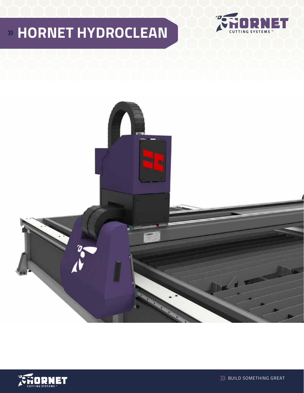# **HORNET HYDROCLEAN**







**BUILD SOMETHING GREAT**